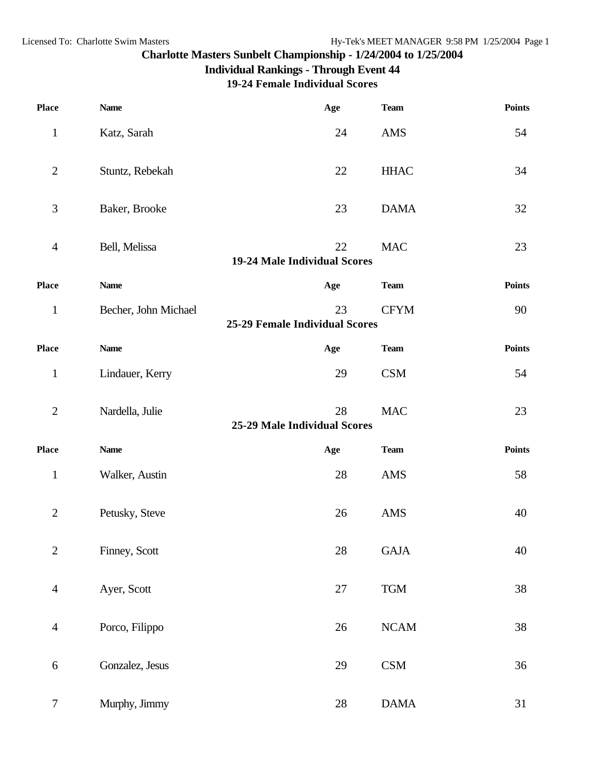#### **Charlotte Masters Sunbelt Championship - 1/24/2004 to 1/25/2004**

#### **Individual Rankings - Through Event 44**

**19-24 Female Individual Scores**

| <b>Place</b>   | <b>Name</b>          | Age                                         | <b>Team</b>             | <b>Points</b> |
|----------------|----------------------|---------------------------------------------|-------------------------|---------------|
| $\mathbf{1}$   | Katz, Sarah          | 24                                          | AMS                     | 54            |
| $\overline{c}$ | Stuntz, Rebekah      | 22                                          | <b>HHAC</b>             | 34            |
| 3              | Baker, Brooke        | 23                                          | <b>DAMA</b>             | 32            |
| $\overline{4}$ | Bell, Melissa        | 22<br>19-24 Male Individual Scores          | <b>MAC</b>              | 23            |
| <b>Place</b>   | <b>Name</b>          | Age                                         | <b>Team</b>             | <b>Points</b> |
| $\mathbf{1}$   | Becher, John Michael | 23<br><b>25-29 Female Individual Scores</b> | <b>CFYM</b>             | 90            |
| <b>Place</b>   | <b>Name</b>          | Age                                         | <b>Team</b>             | <b>Points</b> |
| $\mathbf{1}$   | Lindauer, Kerry      | 29                                          | <b>CSM</b>              | 54            |
| $\sqrt{2}$     | Nardella, Julie      | 28<br>25-29 Male Individual Scores          | <b>MAC</b>              | 23            |
| <b>Place</b>   | <b>Name</b>          | Age                                         | <b>Team</b>             | <b>Points</b> |
| $\mathbf{1}$   | Walker, Austin       | 28                                          | AMS                     | 58            |
| $\overline{2}$ | Petusky, Steve       | 26                                          | AMS                     | 40            |
| $\mathbf{2}$   | Finney, Scott        | $28\,$                                      | $\operatorname{GAJA}$   | $40\,$        |
| $\overline{4}$ | Ayer, Scott          | 27                                          | $T\mathbf{G}\mathbf{M}$ | 38            |
| $\overline{4}$ | Porco, Filippo       | $26\,$                                      | $NCAM$                  | 38            |
| 6              | Gonzalez, Jesus      | 29                                          | $\mathbf{CSM}$          | 36            |
| $\tau$         | Murphy, Jimmy        | $28\,$                                      | <b>DAMA</b>             | 31            |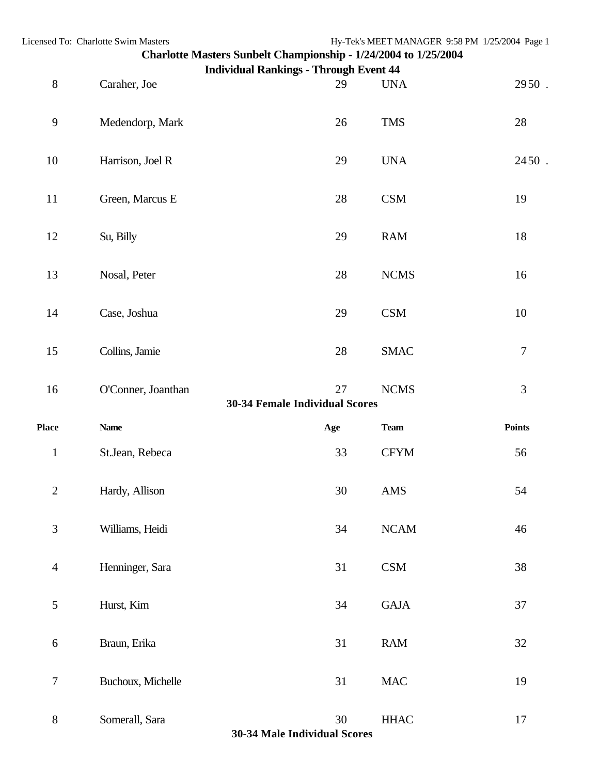| Licensed To: Charlotte Swim Masters |     |                |                                                                                                                                                                                                                                                    |
|-------------------------------------|-----|----------------|----------------------------------------------------------------------------------------------------------------------------------------------------------------------------------------------------------------------------------------------------|
|                                     |     |                |                                                                                                                                                                                                                                                    |
| Caraher, Joe                        | 29  | <b>UNA</b>     | 2950.                                                                                                                                                                                                                                              |
| Medendorp, Mark                     | 26  | <b>TMS</b>     | 28                                                                                                                                                                                                                                                 |
| Harrison, Joel R                    | 29  | <b>UNA</b>     | 2450.                                                                                                                                                                                                                                              |
| Green, Marcus E                     | 28  | <b>CSM</b>     | 19                                                                                                                                                                                                                                                 |
| Su, Billy                           | 29  | <b>RAM</b>     | 18                                                                                                                                                                                                                                                 |
| Nosal, Peter                        | 28  | <b>NCMS</b>    | 16                                                                                                                                                                                                                                                 |
| Case, Joshua                        | 29  | <b>CSM</b>     | 10                                                                                                                                                                                                                                                 |
| Collins, Jamie                      | 28  | <b>SMAC</b>    | $\overline{7}$                                                                                                                                                                                                                                     |
| O'Conner, Joanthan                  | 27  | <b>NCMS</b>    | 3                                                                                                                                                                                                                                                  |
| <b>Name</b>                         | Age | <b>Team</b>    | <b>Points</b>                                                                                                                                                                                                                                      |
| St.Jean, Rebeca                     | 33  | <b>CFYM</b>    | 56                                                                                                                                                                                                                                                 |
| Hardy, Allison                      | 30  | $\mathbf{AMS}$ | 54                                                                                                                                                                                                                                                 |
| Williams, Heidi                     | 34  | $\it NCAM$     | 46                                                                                                                                                                                                                                                 |
| Henninger, Sara                     | 31  | <b>CSM</b>     | $38\,$                                                                                                                                                                                                                                             |
| Hurst, Kim                          | 34  | <b>GAJA</b>    | 37                                                                                                                                                                                                                                                 |
| Braun, Erika                        | 31  | <b>RAM</b>     | 32                                                                                                                                                                                                                                                 |
| Buchoux, Michelle                   | 31  | $\rm MAC$      | 19                                                                                                                                                                                                                                                 |
| Somerall, Sara                      | 30  | <b>HHAC</b>    | 17                                                                                                                                                                                                                                                 |
|                                     |     |                | Hy-Tek's MEET MANAGER 9:58 PM 1/25/2004 Page 1<br>Charlotte Masters Sunbelt Championship - 1/24/2004 to 1/25/2004<br><b>Individual Rankings - Through Event 44</b><br><b>30-34 Female Individual Scores</b><br><b>30-34 Male Individual Scores</b> |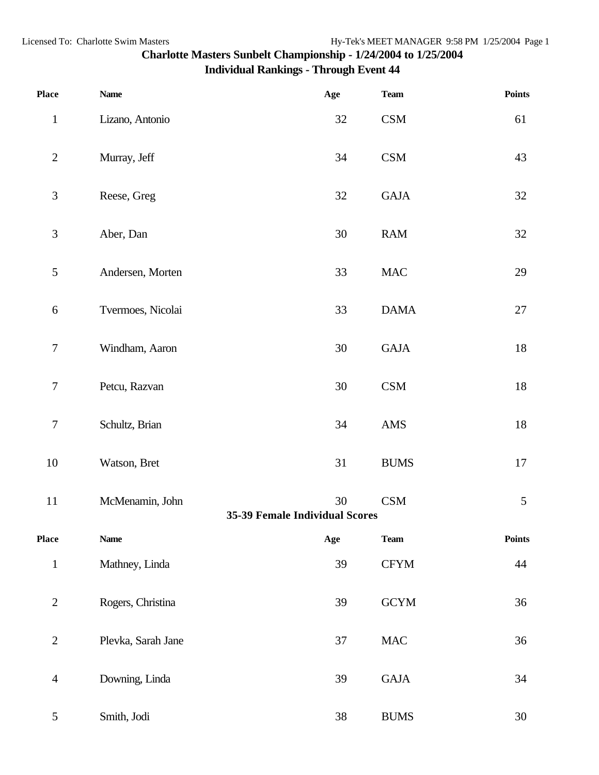| <b>Place</b>     | <b>Name</b>        |                                | Age    | <b>Team</b>           | Points     |
|------------------|--------------------|--------------------------------|--------|-----------------------|------------|
| $\mathbf{1}$     | Lizano, Antonio    |                                | 32     | $\mathbf{CSM}$        | 61         |
| $\overline{2}$   | Murray, Jeff       |                                | 34     | $\mathbf{CSM}$        | 43         |
| 3                | Reese, Greg        |                                | 32     | <b>GAJA</b>           | 32         |
| $\mathfrak{Z}$   | Aber, Dan          |                                | 30     | <b>RAM</b>            | 32         |
| 5                | Andersen, Morten   |                                | 33     | $\rm MAC$             | 29         |
| 6                | Tvermoes, Nicolai  |                                | 33     | <b>DAMA</b>           | 27         |
| $\tau$           | Windham, Aaron     |                                | 30     | <b>GAJA</b>           | 18         |
| $\boldsymbol{7}$ | Petcu, Razvan      |                                | $30\,$ | $\mathbf{CSM}$        | 18         |
| $\boldsymbol{7}$ | Schultz, Brian     |                                | 34     | AMS                   | 18         |
| 10               | Watson, Bret       |                                | 31     | <b>BUMS</b>           | 17         |
| 11               | McMenamin, John    | 35-39 Female Individual Scores | 30     | CSM                   | $\sqrt{5}$ |
| <b>Place</b>     | <b>Name</b>        |                                | Age    | <b>Team</b>           | Points     |
| $\mathbf{1}$     | Mathney, Linda     |                                | 39     | <b>CFYM</b>           | 44         |
| $\sqrt{2}$       | Rogers, Christina  |                                | 39     | $\operatorname{GCYM}$ | 36         |
| $\mathbf{2}$     | Plevka, Sarah Jane |                                | 37     | $\rm MAC$             | 36         |
| $\overline{4}$   | Downing, Linda     |                                | 39     | $\operatorname{GAJA}$ | 34         |
| 5                | Smith, Jodi        |                                | 38     | <b>BUMS</b>           | 30         |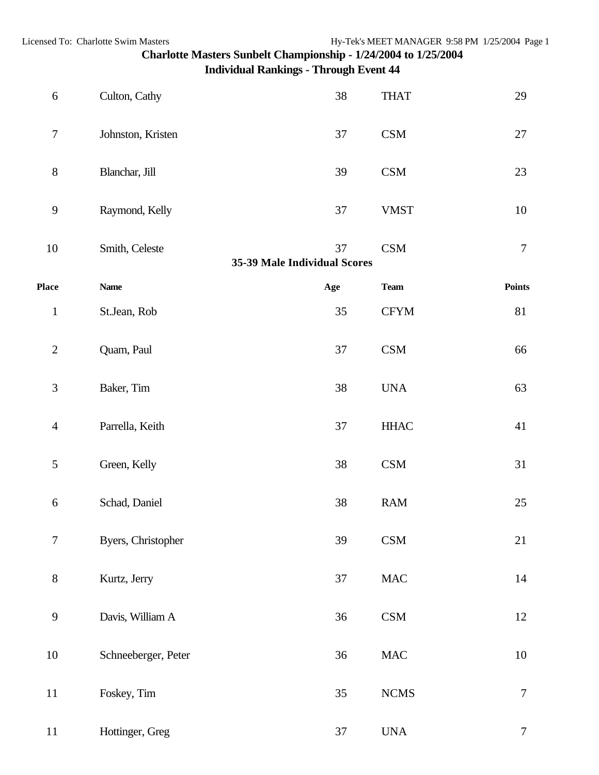| 6                        | Culton, Cathy       | 38                                 | <b>THAT</b>    | 29             |
|--------------------------|---------------------|------------------------------------|----------------|----------------|
| $\boldsymbol{7}$         | Johnston, Kristen   | 37                                 | $\mathbf{CSM}$ | 27             |
| $8\,$                    | Blanchar, Jill      | 39                                 | $\mathbf{CSM}$ | 23             |
| $\overline{9}$           | Raymond, Kelly      | 37                                 | <b>VMST</b>    | 10             |
| 10                       | Smith, Celeste      | 37<br>35-39 Male Individual Scores | $\mathbf{CSM}$ | $\overline{7}$ |
| Place                    | <b>Name</b>         | Age                                | <b>Team</b>    | <b>Points</b>  |
| $1\,$                    | St.Jean, Rob        | 35                                 | <b>CFYM</b>    | 81             |
| $\mathbf{2}$             | Quam, Paul          | 37                                 | CSM            | 66             |
| $\mathfrak{Z}$           | Baker, Tim          | 38                                 | <b>UNA</b>     | 63             |
| $\overline{\mathcal{A}}$ | Parrella, Keith     | 37                                 | <b>HHAC</b>    | 41             |
| $\mathfrak{S}$           | Green, Kelly        | 38                                 | $\mathbf{CSM}$ | 31             |
| 6                        | Schad, Daniel       | 38                                 | ${\rm RAM}$    | 25             |
| $\tau$                   | Byers, Christopher  | 39                                 | CSM            | 21             |
| $8\,$                    | Kurtz, Jerry        | 37                                 | $\rm MAC$      | 14             |
| 9                        | Davis, William A    | 36                                 | $\mathbf{CSM}$ | 12             |
| 10                       | Schneeberger, Peter | 36                                 | $\rm MAC$      | $10\,$         |
| 11                       | Foskey, Tim         | 35                                 | ${\rm NCMS}$   | $\overline{7}$ |
| 11                       | Hottinger, Greg     | $37\,$                             | <b>UNA</b>     | $\tau$         |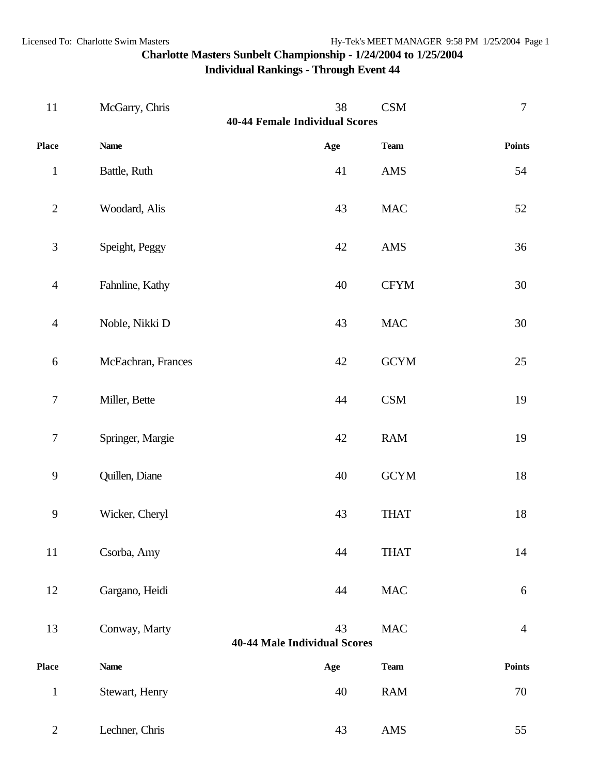| $11\,$           | McGarry, Chris     | 38<br><b>40-44 Female Individual Scores</b> | CSM            | $\overline{7}$ |
|------------------|--------------------|---------------------------------------------|----------------|----------------|
| <b>Place</b>     | <b>Name</b>        | Age                                         | <b>Team</b>    | <b>Points</b>  |
| $\,1$            | Battle, Ruth       | 41                                          | AMS            | 54             |
| $\overline{2}$   | Woodard, Alis      | 43                                          | <b>MAC</b>     | 52             |
| $\mathfrak{Z}$   | Speight, Peggy     | 42                                          | $\mathbf{AMS}$ | 36             |
| $\overline{4}$   | Fahnline, Kathy    | 40                                          | <b>CFYM</b>    | 30             |
| $\overline{4}$   | Noble, Nikki D     | 43                                          | $\rm MAC$      | 30             |
| $\sqrt{6}$       | McEachran, Frances | 42                                          | <b>GCYM</b>    | 25             |
| $\boldsymbol{7}$ | Miller, Bette      | 44                                          | $\mathbf{CSM}$ | 19             |
| $\boldsymbol{7}$ | Springer, Margie   | 42                                          | RAM            | 19             |
| $\overline{9}$   | Quillen, Diane     | 40                                          | <b>GCYM</b>    | $18\,$         |
| 9                | Wicker, Cheryl     | 43                                          | <b>THAT</b>    | $18\,$         |
| $11\,$           | Csorba, Amy        | 44                                          | <b>THAT</b>    | 14             |
| 12               | Gargano, Heidi     | 44                                          | $\rm MAC$      | $\sqrt{6}$     |
| 13               | Conway, Marty      | 43<br><b>40-44 Male Individual Scores</b>   | $\rm MAC$      | $\overline{4}$ |
| <b>Place</b>     | <b>Name</b>        | Age                                         | <b>Team</b>    | <b>Points</b>  |
| $\,1$            | Stewart, Henry     | 40                                          | ${\rm RAM}$    | 70             |
| $\mathbf{2}$     | Lechner, Chris     | 43                                          | $\mathbf{AMS}$ | 55             |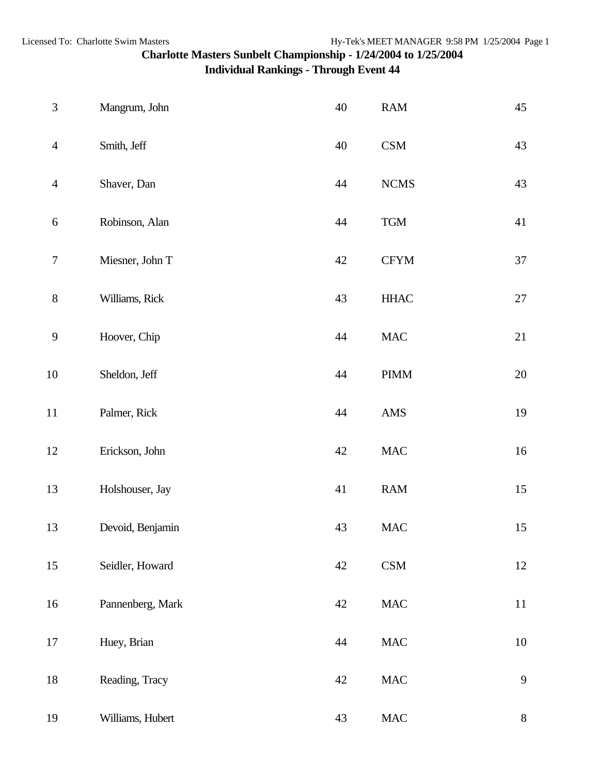| $\mathfrak{Z}$   | Mangrum, John    | $40\,$ | ${\rm RAM}$    | 45     |
|------------------|------------------|--------|----------------|--------|
| $\overline{4}$   | Smith, Jeff      | 40     | CSM            | 43     |
| $\overline{4}$   | Shaver, Dan      | 44     | ${\rm NCMS}$   | 43     |
| $\boldsymbol{6}$ | Robinson, Alan   | $44\,$ | <b>TGM</b>     | 41     |
| $\boldsymbol{7}$ | Miesner, John T  | $42\,$ | <b>CFYM</b>    | 37     |
| $8\,$            | Williams, Rick   | 43     | $\rm HHAC$     | $27\,$ |
| $\overline{9}$   | Hoover, Chip     | 44     | $\rm MAC$      | 21     |
| $10\,$           | Sheldon, Jeff    | $44\,$ | $\bold{PIMM}$  | $20\,$ |
| $11\,$           | Palmer, Rick     | $44\,$ | $\mathbf{AMS}$ | 19     |
| 12               | Erickson, John   | 42     | $\rm MAC$      | $16\,$ |
| 13               | Holshouser, Jay  | 41     | RAM            | 15     |
| 13               | Devoid, Benjamin | 43     | $\rm MAC$      | 15     |
| 15               | Seidler, Howard  | 42     | $\mathbf{CSM}$ | 12     |
| 16               | Pannenberg, Mark | 42     | $\rm MAC$      | 11     |
| 17               | Huey, Brian      | 44     | $\rm MAC$      | 10     |
| 18               | Reading, Tracy   | 42     | $\rm MAC$      | 9      |
| 19               | Williams, Hubert | 43     | $\rm MAC$      | $\, 8$ |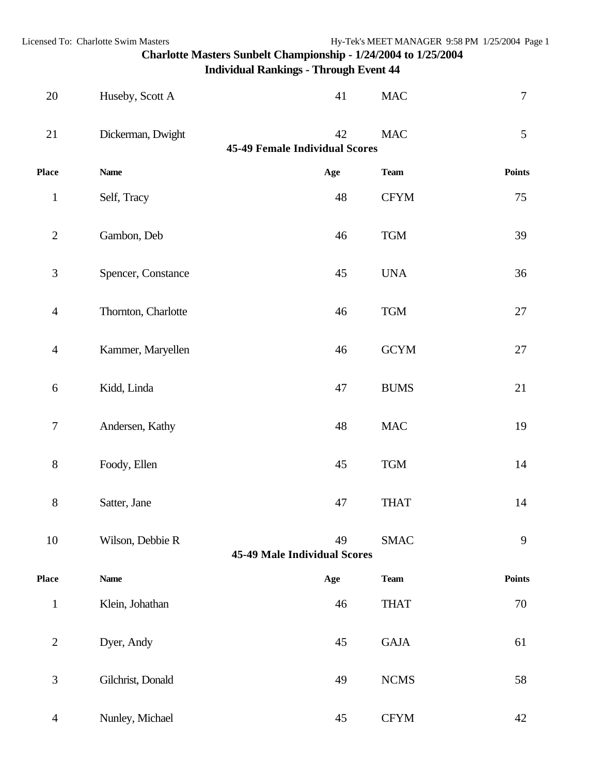| $20\,$           | Huseby, Scott A     | 41                                          | <b>MAC</b>   | $\overline{7}$ |
|------------------|---------------------|---------------------------------------------|--------------|----------------|
| 21               | Dickerman, Dwight   | 42<br><b>45-49 Female Individual Scores</b> | <b>MAC</b>   | 5              |
| <b>Place</b>     | <b>Name</b>         | Age                                         | <b>Team</b>  | <b>Points</b>  |
| $\mathbf{1}$     | Self, Tracy         | 48                                          | <b>CFYM</b>  | 75             |
| $\mathbf{2}$     | Gambon, Deb         | 46                                          | <b>TGM</b>   | 39             |
| $\mathfrak{Z}$   | Spencer, Constance  | 45                                          | <b>UNA</b>   | 36             |
| $\overline{4}$   | Thornton, Charlotte | 46                                          | <b>TGM</b>   | 27             |
| $\overline{4}$   | Kammer, Maryellen   | 46                                          | <b>GCYM</b>  | 27             |
| 6                | Kidd, Linda         | 47                                          | $\rm BUMS$   | 21             |
| $\boldsymbol{7}$ | Andersen, Kathy     | 48                                          | $\rm MAC$    | 19             |
| $8\,$            | Foody, Ellen        | 45                                          | <b>TGM</b>   | 14             |
| $8\,$            | Satter, Jane        | 47                                          | <b>THAT</b>  | 14             |
| $10\,$           | Wilson, Debbie R    | 49<br><b>45-49 Male Individual Scores</b>   | <b>SMAC</b>  | 9              |
| <b>Place</b>     | <b>Name</b>         | Age                                         | <b>Team</b>  | <b>Points</b>  |
| $\,1$            | Klein, Johathan     | 46                                          | <b>THAT</b>  | 70             |
| $\sqrt{2}$       | Dyer, Andy          | 45                                          | <b>GAJA</b>  | 61             |
| $\mathfrak{Z}$   | Gilchrist, Donald   | 49                                          | ${\bf NCMS}$ | 58             |
| $\overline{4}$   | Nunley, Michael     | 45                                          | <b>CFYM</b>  | 42             |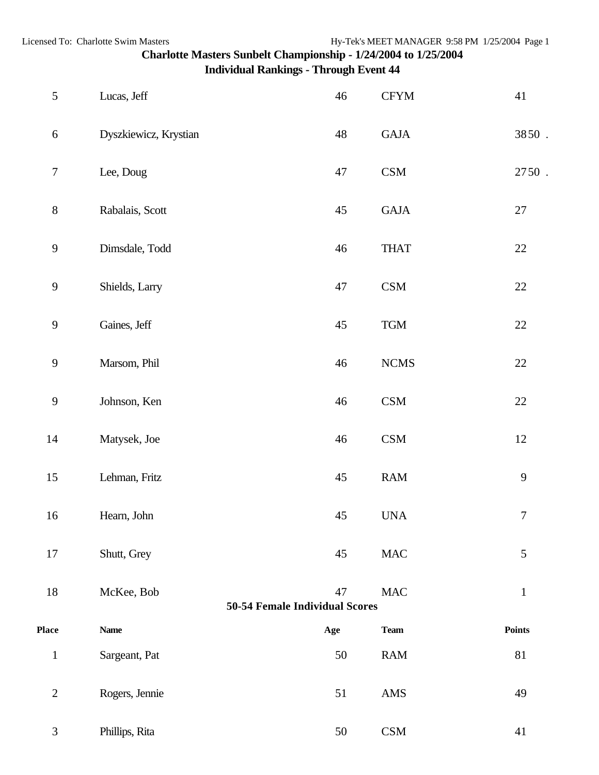| $\mathfrak s$  | Lucas, Jeff           |                                       | 46     | <b>CFYM</b>    | $41\,$           |
|----------------|-----------------------|---------------------------------------|--------|----------------|------------------|
| $\sqrt{6}$     | Dyszkiewicz, Krystian |                                       | 48     | GAJA           | 3850.            |
| $\tau$         | Lee, Doug             |                                       | $47\,$ | CSM            | 2750.            |
| $8\,$          | Rabalais, Scott       |                                       | $45\,$ | GAJA           | $27\,$           |
| $\mathbf{9}$   | Dimsdale, Todd        |                                       | 46     | <b>THAT</b>    | $22\,$           |
| $\overline{9}$ | Shields, Larry        |                                       | 47     | $\mathbf{CSM}$ | $22\,$           |
| 9              | Gaines, Jeff          |                                       | $45\,$ | <b>TGM</b>     | $22\,$           |
| $\overline{9}$ | Marsom, Phil          |                                       | $46\,$ | ${\rm NCMS}$   | $22\,$           |
| $\mathbf{9}$   | Johnson, Ken          |                                       | $46\,$ | CSM            | $22\,$           |
| 14             | Matysek, Joe          |                                       | 46     | $\mathbf{CSM}$ | 12               |
| 15             | Lehman, Fritz         |                                       | $45\,$ | ${\rm RAM}$    | $\mathbf{9}$     |
| 16             | Hearn, John           |                                       | 45     | <b>UNA</b>     | $\boldsymbol{7}$ |
| 17             | Shutt, Grey           |                                       | 45     | $\rm MAC$      | $\sqrt{5}$       |
| 18             | McKee, Bob            | <b>50-54 Female Individual Scores</b> | 47     | <b>MAC</b>     | $\mathbf{1}$     |
| Place          | <b>Name</b>           |                                       | Age    | <b>Team</b>    | <b>Points</b>    |
| $\mathbf{1}$   | Sargeant, Pat         |                                       | 50     | ${\rm RAM}$    | 81               |
| $\sqrt{2}$     | Rogers, Jennie        |                                       | 51     | AMS            | 49               |
| 3              | Phillips, Rita        |                                       | 50     | $\mathbf{CSM}$ | 41               |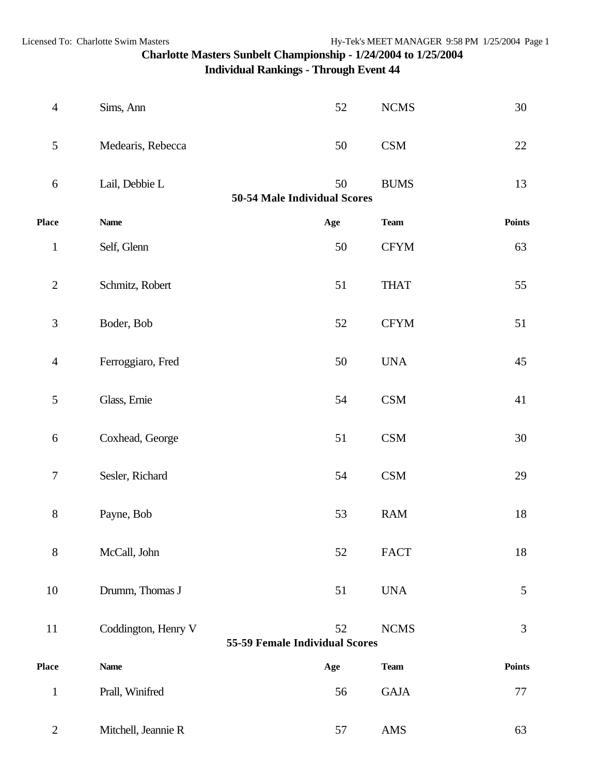| $\overline{4}$   | Sims, Ann           | 52                                   | ${\bf NCMS}$          | 30             |
|------------------|---------------------|--------------------------------------|-----------------------|----------------|
| $\sqrt{5}$       | Medearis, Rebecca   | $50\,$                               | $\mathbf{CSM}$        | 22             |
| $\boldsymbol{6}$ | Lail, Debbie L      | 50<br>50-54 Male Individual Scores   | <b>BUMS</b>           | 13             |
| Place            | <b>Name</b>         | Age                                  | <b>Team</b>           | Points         |
| $\mathbf{1}$     | Self, Glenn         | 50                                   | <b>CFYM</b>           | 63             |
| $\overline{2}$   | Schmitz, Robert     | 51                                   | <b>THAT</b>           | 55             |
| $\mathfrak{Z}$   | Boder, Bob          | 52                                   | <b>CFYM</b>           | 51             |
| $\overline{4}$   | Ferroggiaro, Fred   | 50                                   | <b>UNA</b>            | 45             |
| $\mathfrak{S}$   | Glass, Ernie        | 54                                   | $\mathbf{CSM}$        | 41             |
| 6                | Coxhead, George     | 51                                   | $\mathbf{CSM}$        | 30             |
| $\overline{7}$   | Sesler, Richard     | 54                                   | $\mathbf{CSM}$        | 29             |
| $8\,$            | Payne, Bob          | 53                                   | RAM                   | 18             |
| $8\,$            | McCall, John        | 52                                   | <b>FACT</b>           | 18             |
| 10               | Drumm, Thomas J     | 51                                   | <b>UNA</b>            | $\sqrt{5}$     |
| 11               | Coddington, Henry V | 52<br>55-59 Female Individual Scores | <b>NCMS</b>           | $\mathfrak{Z}$ |
| Place            | <b>Name</b>         | Age                                  | <b>Team</b>           | Points         |
| $\mathbf 1$      | Prall, Winifred     | 56                                   | $\operatorname{GAJA}$ | 77             |
| $\overline{2}$   | Mitchell, Jeannie R | 57                                   | AMS                   | 63             |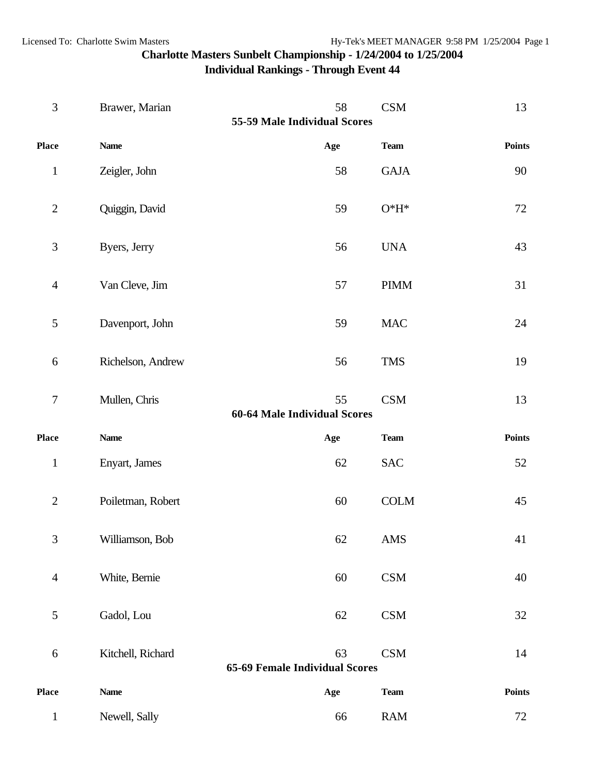| 3                | Brawer, Marian    | 58<br>55-59 Male Individual Scores          | $\mathbf{CSM}$    | 13            |
|------------------|-------------------|---------------------------------------------|-------------------|---------------|
| <b>Place</b>     | <b>Name</b>       | Age                                         | <b>Team</b>       | <b>Points</b> |
| $\mathbf{1}$     | Zeigler, John     | 58                                          | GAJA              | 90            |
| $\sqrt{2}$       | Quiggin, David    | 59                                          | $\mathrm{O^*H^*}$ | 72            |
| $\mathfrak{Z}$   | Byers, Jerry      | 56                                          | <b>UNA</b>        | 43            |
| $\overline{4}$   | Van Cleve, Jim    | 57                                          | <b>PIMM</b>       | 31            |
| $\sqrt{5}$       | Davenport, John   | 59                                          | <b>MAC</b>        | 24            |
| $\sqrt{6}$       | Richelson, Andrew | 56                                          | <b>TMS</b>        | 19            |
| $\tau$           | Mullen, Chris     | 55<br>60-64 Male Individual Scores          | <b>CSM</b>        | 13            |
| <b>Place</b>     | <b>Name</b>       | Age                                         | <b>Team</b>       | Points        |
| $\,1$            | Enyart, James     | 62                                          | <b>SAC</b>        | 52            |
| $\overline{2}$   | Poiletman, Robert | 60                                          | COLM              | 45            |
| 3                | Williamson, Bob   | 62                                          | AMS               | 41            |
| $\overline{4}$   | White, Bernie     | 60                                          | $\mathbf{CSM}$    | 40            |
| 5                | Gadol, Lou        | 62                                          | $\mathbf{CSM}$    | 32            |
| $\boldsymbol{6}$ | Kitchell, Richard | 63<br><b>65-69 Female Individual Scores</b> | $\mathbf{CSM}$    | 14            |
| <b>Place</b>     | <b>Name</b>       | Age                                         | <b>Team</b>       | <b>Points</b> |
| $\mathbf{1}$     | Newell, Sally     | 66                                          | ${\rm RAM}$       | 72            |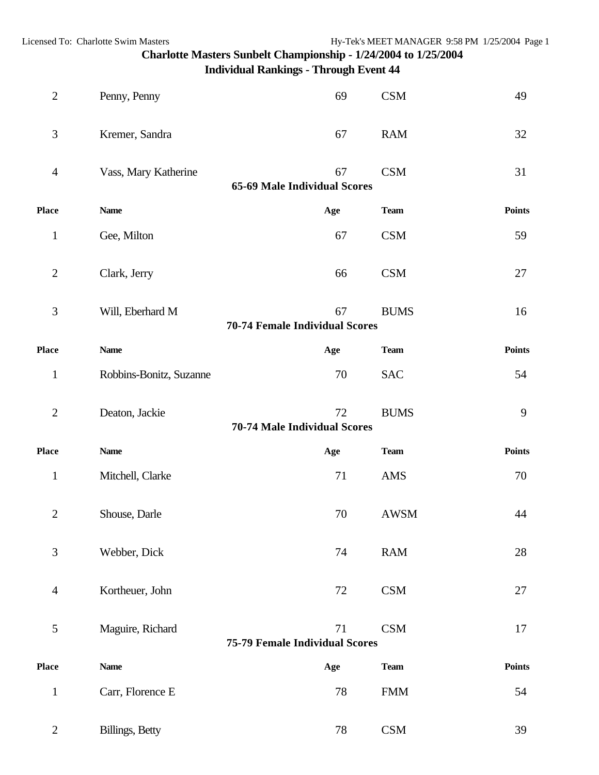| $\overline{2}$ | Penny, Penny            | 69                                          | $\mathbf{CSM}$ | 49            |
|----------------|-------------------------|---------------------------------------------|----------------|---------------|
| 3              | Kremer, Sandra          | 67                                          | <b>RAM</b>     | 32            |
| $\overline{4}$ | Vass, Mary Katherine    | 67<br>65-69 Male Individual Scores          | <b>CSM</b>     | 31            |
| Place          | <b>Name</b>             | Age                                         | <b>Team</b>    | <b>Points</b> |
| $\mathbf{1}$   | Gee, Milton             | 67                                          | <b>CSM</b>     | 59            |
| $\overline{2}$ | Clark, Jerry            | 66                                          | $\mathbf{CSM}$ | 27            |
| 3              | Will, Eberhard M        | 67<br><b>70-74 Female Individual Scores</b> | <b>BUMS</b>    | 16            |
| <b>Place</b>   | <b>Name</b>             | Age                                         | <b>Team</b>    | <b>Points</b> |
| $\mathbf{1}$   | Robbins-Bonitz, Suzanne | 70                                          | <b>SAC</b>     | 54            |
| $\overline{2}$ | Deaton, Jackie          | 72<br>70-74 Male Individual Scores          | <b>BUMS</b>    | 9             |
| <b>Place</b>   | <b>Name</b>             | Age                                         | <b>Team</b>    | <b>Points</b> |
| $\mathbf{1}$   | Mitchell, Clarke        | 71                                          | <b>AMS</b>     | 70            |
| $\overline{2}$ | Shouse, Darle           | 70                                          | <b>AWSM</b>    | 44            |
| 3              | Webber, Dick            | 74                                          | RAM            | 28            |
| $\overline{4}$ | Kortheuer, John         | 72                                          | CSM            | 27            |
| 5              | Maguire, Richard        | 71<br><b>75-79 Female Individual Scores</b> | <b>CSM</b>     | 17            |
| <b>Place</b>   | <b>Name</b>             | Age                                         | <b>Team</b>    | Points        |
| $\mathbf{1}$   | Carr, Florence E        | 78                                          | <b>FMM</b>     | 54            |
| $\overline{2}$ | <b>Billings</b> , Betty | 78                                          | $\mathbf{CSM}$ | 39            |